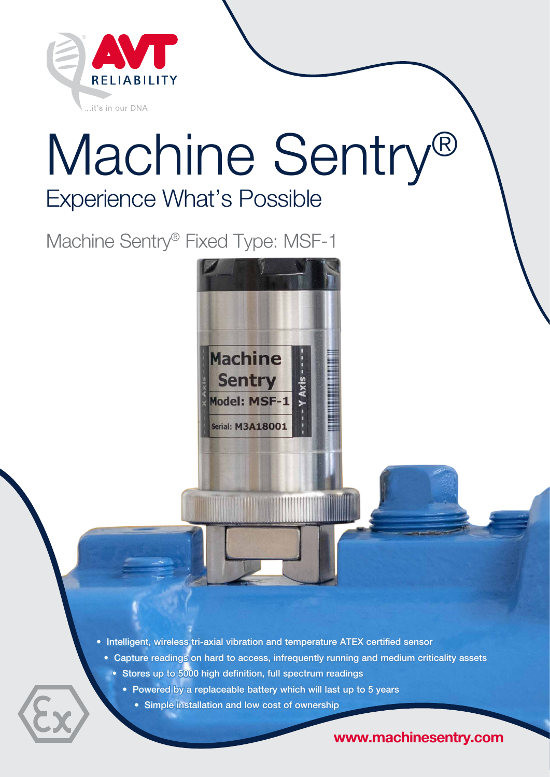

# Experience What's Possible Machine Sentry®

**Machine** 

**Sentry** 

Model: MSF-1

Serial: M3A18001

Machine Sentry® Fixed Type: MSF-1

• Intelligent, wireless tri-axial vibration and temperature ATEX certified sensor

• Capture readings on hard to access, infrequently running and medium criticality assets

- Stores up to 5000 high definition, full spectrum readings
	- Powered by a replaceable battery which will last up to 5 years
		- Simple installation and low cost of ownership

www.machinesentry.com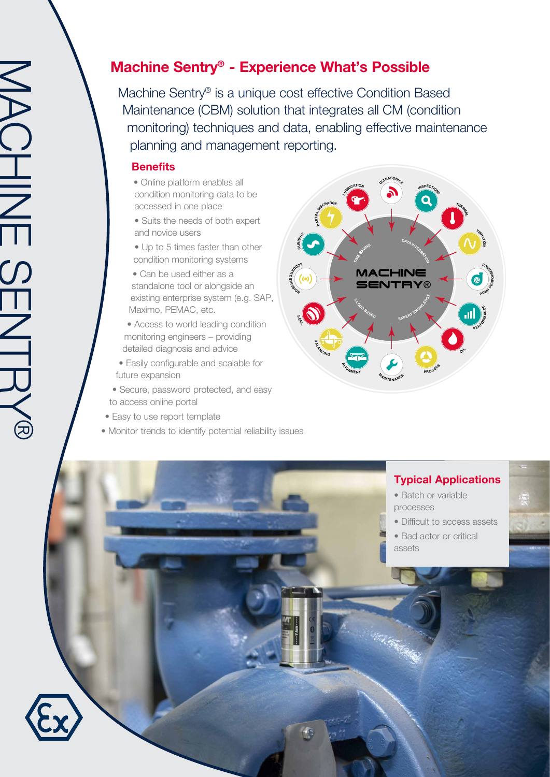# Machine Sentry® - Experience What's Possible

Machine Sentry® is a unique cost effective Condition Based Maintenance (CBM) solution that integrates all CM (condition monitoring) techniques and data, enabling effective maintenance planning and management reporting.

#### **Benefits**

- Online platform enables all condition monitoring data to be accessed in one place
- Suits the needs of both expert and novice users
- Up to 5 times faster than other condition monitoring systems
- Can be used either as a standalone tool or alongside an existing enterprise system (e.g. SAP, Maximo, PEMAC, etc.
- Access to world leading condition monitoring engineers – providing detailed diagnosis and advice
- Easily configurable and scalable for future expansion
- Secure, password protected, and easy to access online portal
- Easy to use report template
- Monitor trends to identify potential reliability issues



## Typical Applications

- Batch or variable processes
- Difficult to access assets
- Bad actor or critical assets



MACHINE SENTRY®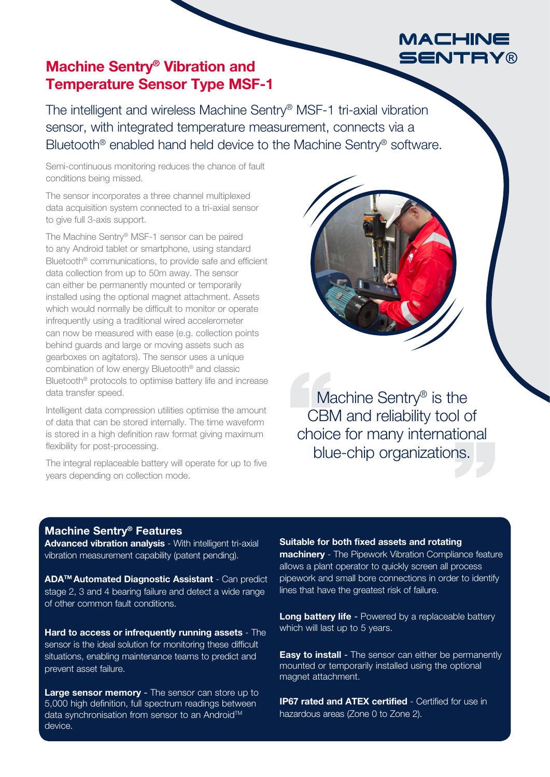# MACHINE **SENTRY®**

# Machine Sentry® Vibration and Temperature Sensor Type MSF-1

The intelligent and wireless Machine Sentry® MSF-1 tri-axial vibration sensor, with integrated temperature measurement, connects via a Bluetooth® enabled hand held device to the Machine Sentry® software.

Semi-continuous monitoring reduces the chance of fault conditions being missed.

The sensor incorporates a three channel multiplexed data acquisition system connected to a tri-axial sensor to give full 3-axis support.

The Machine Sentry® MSF-1 sensor can be paired to any Android tablet or smartphone, using standard Bluetooth® communications, to provide safe and efficient data collection from up to 50m away. The sensor can either be permanently mounted or temporarily installed using the optional magnet attachment. Assets which would normally be difficult to monitor or operate infrequently using a traditional wired accelerometer can now be measured with ease (e.g. collection points behind guards and large or moving assets such as gearboxes on agitators). The sensor uses a unique combination of low energy Bluetooth® and classic Bluetooth<sup>®</sup> protocols to optimise battery life and increase data transfer speed.

Intelligent data compression utilities optimise the amount of data that can be stored internally. The time waveform is stored in a high definition raw format giving maximum flexibility for post-processing.

The integral replaceable battery will operate for up to five years depending on collection mode.

Machine Sentry® is the CBM and reliability tool of choice for many international blue-chip organizations.

### Machine Sentry® Features

Advanced vibration analysis - With intelligent tri-axial vibration measurement capability (patent pending).

ADA™ Automated Diagnostic Assistant - Can predict stage 2, 3 and 4 bearing failure and detect a wide range of other common fault conditions.

Hard to access or infrequently running assets - The sensor is the ideal solution for monitoring these difficult situations, enabling maintenance teams to predict and prevent asset failure.

Large sensor memory - The sensor can store up to 5,000 high definition, full spectrum readings between data synchronisation from sensor to an Android™ device.

#### Suitable for both fixed assets and rotating

machinery - The Pipework Vibration Compliance feature allows a plant operator to quickly screen all process pipework and small bore connections in order to identify lines that have the greatest risk of failure.

Long battery life - Powered by a replaceable battery which will last up to 5 years.

**Easy to install** - The sensor can either be permanently mounted or temporarily installed using the optional magnet attachment.

**IP67 rated and ATEX certified - Certified for use in** hazardous areas (Zone 0 to Zone 2).